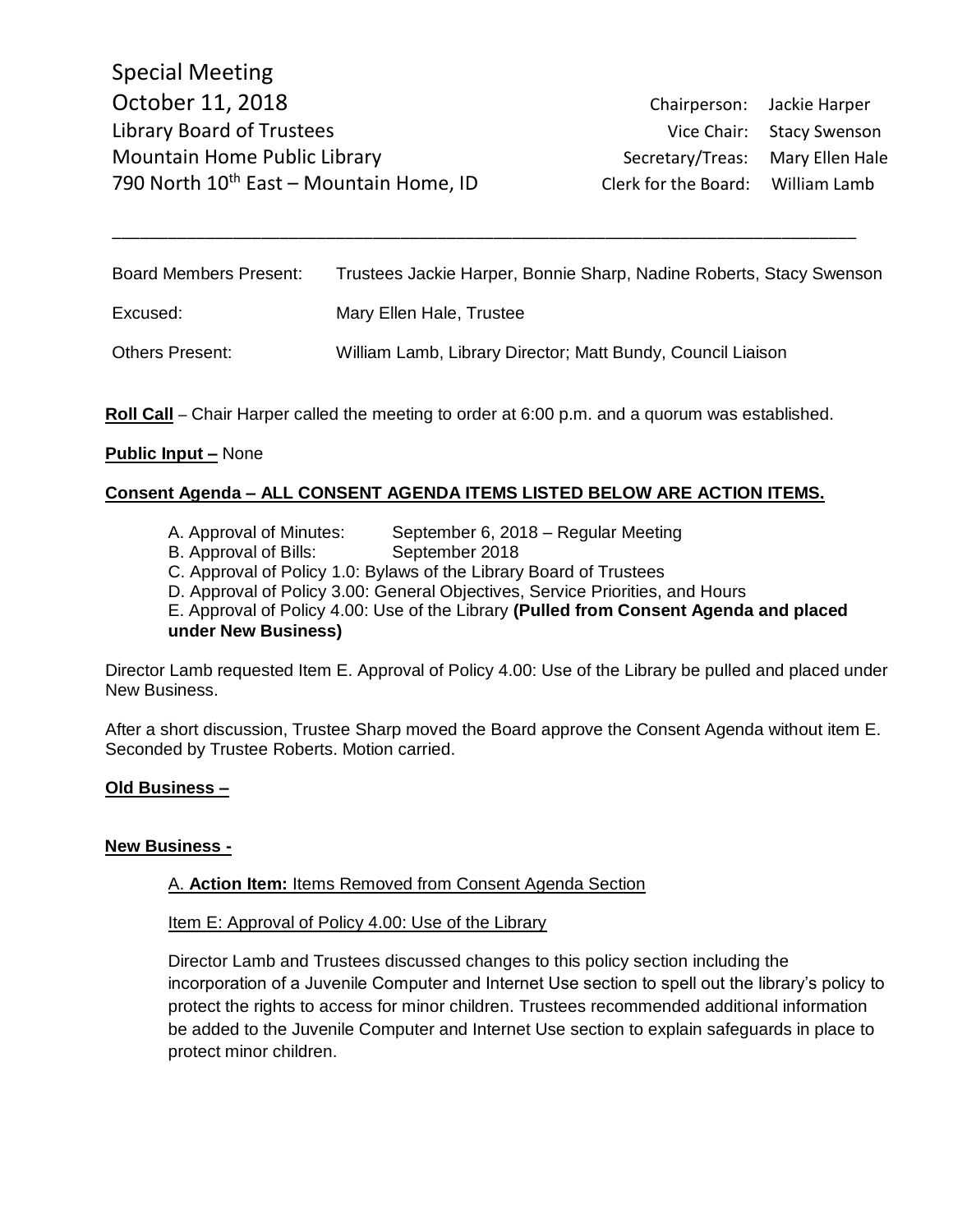| <b>Board Members Present:</b> | Trustees Jackie Harper, Bonnie Sharp, Nadine Roberts, Stacy Swenson |
|-------------------------------|---------------------------------------------------------------------|
| Excused:                      | Mary Ellen Hale, Trustee                                            |
| <b>Others Present:</b>        | William Lamb, Library Director; Matt Bundy, Council Liaison         |

\_\_\_\_\_\_\_\_\_\_\_\_\_\_\_\_\_\_\_\_\_\_\_\_\_\_\_\_\_\_\_\_\_\_\_\_\_\_\_\_\_\_\_\_\_\_\_\_\_\_\_\_\_\_\_\_\_\_\_\_\_\_\_\_\_\_\_\_\_\_\_\_\_\_\_\_\_\_\_\_

**Roll Call** – Chair Harper called the meeting to order at 6:00 p.m. and a quorum was established.

### **Public Input –** None

# **Consent Agenda – ALL CONSENT AGENDA ITEMS LISTED BELOW ARE ACTION ITEMS.**

- A. Approval of Minutes: September 6, 2018 Regular Meeting
- B. Approval of Bills: September 2018
- C. Approval of Policy 1.0: Bylaws of the Library Board of Trustees

D. Approval of Policy 3.00: General Objectives, Service Priorities, and Hours

E. Approval of Policy 4.00: Use of the Library **(Pulled from Consent Agenda and placed under New Business)**

Director Lamb requested Item E. Approval of Policy 4.00: Use of the Library be pulled and placed under New Business.

After a short discussion, Trustee Sharp moved the Board approve the Consent Agenda without item E. Seconded by Trustee Roberts. Motion carried.

# **Old Business –**

#### **New Business -**

#### A. **Action Item:** Items Removed from Consent Agenda Section

Item E: Approval of Policy 4.00: Use of the Library

Director Lamb and Trustees discussed changes to this policy section including the incorporation of a Juvenile Computer and Internet Use section to spell out the library's policy to protect the rights to access for minor children. Trustees recommended additional information be added to the Juvenile Computer and Internet Use section to explain safeguards in place to protect minor children.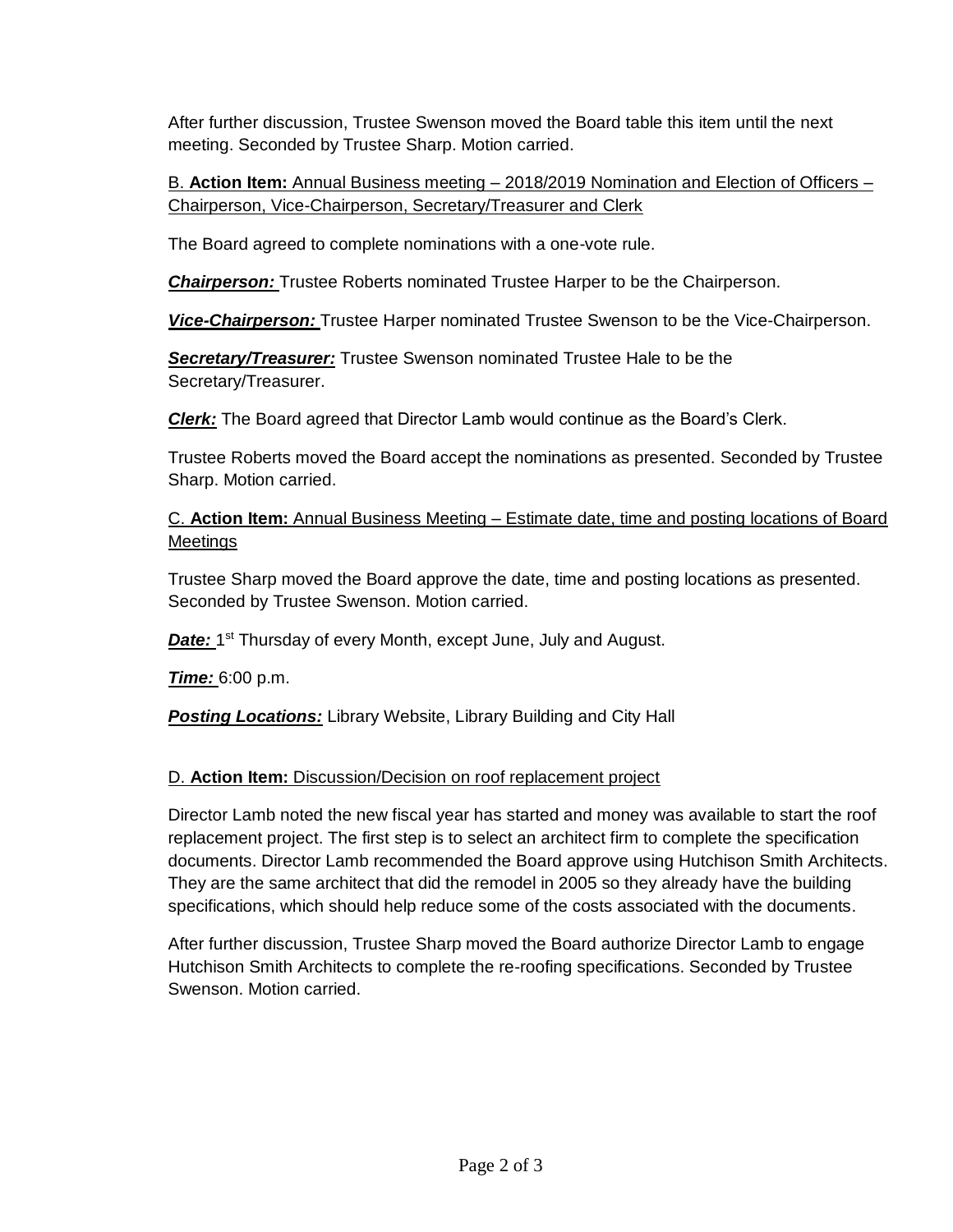After further discussion, Trustee Swenson moved the Board table this item until the next meeting. Seconded by Trustee Sharp. Motion carried.

B. **Action Item:** Annual Business meeting – 2018/2019 Nomination and Election of Officers – Chairperson, Vice-Chairperson, Secretary/Treasurer and Clerk

The Board agreed to complete nominations with a one-vote rule.

*Chairperson:* Trustee Roberts nominated Trustee Harper to be the Chairperson.

*Vice-Chairperson:* Trustee Harper nominated Trustee Swenson to be the Vice-Chairperson.

*Secretary/Treasurer:* Trustee Swenson nominated Trustee Hale to be the Secretary/Treasurer.

*Clerk:* The Board agreed that Director Lamb would continue as the Board's Clerk.

Trustee Roberts moved the Board accept the nominations as presented. Seconded by Trustee Sharp. Motion carried.

C. **Action Item:** Annual Business Meeting – Estimate date, time and posting locations of Board **Meetings** 

Trustee Sharp moved the Board approve the date, time and posting locations as presented. Seconded by Trustee Swenson. Motion carried.

Date: 1<sup>st</sup> Thursday of every Month, except June, July and August.

*Time:* 6:00 p.m.

**Posting Locations:** Library Website, Library Building and City Hall

# D. **Action Item:** Discussion/Decision on roof replacement project

Director Lamb noted the new fiscal year has started and money was available to start the roof replacement project. The first step is to select an architect firm to complete the specification documents. Director Lamb recommended the Board approve using Hutchison Smith Architects. They are the same architect that did the remodel in 2005 so they already have the building specifications, which should help reduce some of the costs associated with the documents.

After further discussion, Trustee Sharp moved the Board authorize Director Lamb to engage Hutchison Smith Architects to complete the re-roofing specifications. Seconded by Trustee Swenson. Motion carried.